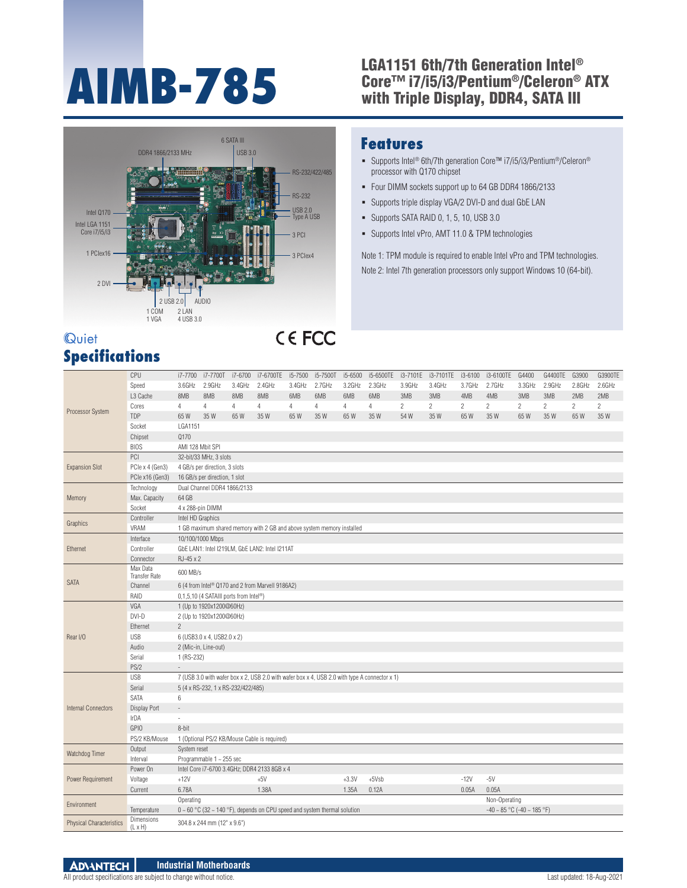## LGA1151 6th/7th Generation Intel®<br>Core™ i7/i5/i3/Pentium®/Celeron®<br>with Triple Display, DDR4, SATA III Core™ i7/i5/i3/Pentium®/Celeron® ATX with Triple Display, DDR4, SATA III



#### **Quiet Specifications**

# CE FCC

### **Features**

- Supports Intel® 6th/7th generation Core™ i7/i5/i3/Pentium®/Celeron® processor with Q170 chipset
- Four DIMM sockets support up to 64 GB DDR4 1866/2133
- Supports triple display VGA/2 DVI-D and dual GbE LAN
- Supports SATA RAID 0, 1, 5, 10, USB 3.0
- Supports Intel vPro, AMT 11.0 & TPM technologies

Note 1: TPM module is required to enable Intel vPro and TPM technologies. Note 2: Intel 7th generation processors only support Windows 10 (64-bit).

|                                 | CPU                             | i7-7700                       | i7-7700T i7-6700                                                   |                | i7-6700TE                                                                           | i5-7500        | i5-7500T       | i5-6500 | i5-6500TE                                                                                     |                | i3-7101E i3-7101TE | i3-6100        | i3-6100TE G4400                       |              | G4400TE        | G3900          | G3900TE        |
|---------------------------------|---------------------------------|-------------------------------|--------------------------------------------------------------------|----------------|-------------------------------------------------------------------------------------|----------------|----------------|---------|-----------------------------------------------------------------------------------------------|----------------|--------------------|----------------|---------------------------------------|--------------|----------------|----------------|----------------|
|                                 | Speed                           | 3.6GHz                        | 2.9GHz                                                             | 3.4GHz         | 2.4GHz                                                                              | 3.4GHz         | 2.7GHz         | 3.2GHz  | 2.3GHz                                                                                        | 3.9GHz         | 3.4GHz             | 3.7GHz         | 2.7GHz                                | 3.3GHz       | 2.9GHz         | 2.8GHz         | 2.6GHz         |
|                                 | L <sub>3</sub> Cache            | 8MB                           | 8MB                                                                | 8MB            | 8MB                                                                                 | 6MB            | 6MB            | 6MB     | 6MB                                                                                           | 3MB            | 3MB                | 4MB            | 4MB                                   | 3MB          | 3MB            | 2MB            | 2MB            |
|                                 | Cores                           | $\overline{4}$                | 4                                                                  | $\overline{4}$ | $\overline{4}$                                                                      | $\overline{4}$ | $\overline{4}$ | 4       | $\overline{4}$                                                                                | $\overline{2}$ | $\mathbf{2}$       | $\overline{2}$ | $\overline{2}$                        | $\mathbf{2}$ | $\overline{2}$ | $\overline{2}$ | $\overline{2}$ |
| Processor System                | <b>TDP</b>                      | 65 W                          | 35W                                                                | 65W            | 35 W                                                                                | 65W            | 35 W           | 65 W    | 35 W                                                                                          | 54 W           | 35 W               | 65 W           | 35 W                                  | 65W          | 35 W           | 65 W           | 35 W           |
|                                 | Socket                          | LGA1151                       |                                                                    |                |                                                                                     |                |                |         |                                                                                               |                |                    |                |                                       |              |                |                |                |
|                                 | Chipset                         | Q170                          |                                                                    |                |                                                                                     |                |                |         |                                                                                               |                |                    |                |                                       |              |                |                |                |
|                                 | <b>BIOS</b>                     | AMI 128 Mbit SPI              |                                                                    |                |                                                                                     |                |                |         |                                                                                               |                |                    |                |                                       |              |                |                |                |
|                                 | PCI                             |                               | 32-bit/33 MHz, 3 slots                                             |                |                                                                                     |                |                |         |                                                                                               |                |                    |                |                                       |              |                |                |                |
| <b>Expansion Slot</b>           | PCIe x 4 (Gen3)                 | 4 GB/s per direction, 3 slots |                                                                    |                |                                                                                     |                |                |         |                                                                                               |                |                    |                |                                       |              |                |                |                |
|                                 | PCle x16 (Gen3)                 | 16 GB/s per direction, 1 slot |                                                                    |                |                                                                                     |                |                |         |                                                                                               |                |                    |                |                                       |              |                |                |                |
|                                 | Technology                      | Dual Channel DDR4 1866/2133   |                                                                    |                |                                                                                     |                |                |         |                                                                                               |                |                    |                |                                       |              |                |                |                |
| Memory                          | Max. Capacity                   | 64 GB                         |                                                                    |                |                                                                                     |                |                |         |                                                                                               |                |                    |                |                                       |              |                |                |                |
|                                 | Socket                          | 4 x 288-pin DIMM              |                                                                    |                |                                                                                     |                |                |         |                                                                                               |                |                    |                |                                       |              |                |                |                |
| Graphics                        | Controller                      | Intel HD Graphics             |                                                                    |                |                                                                                     |                |                |         |                                                                                               |                |                    |                |                                       |              |                |                |                |
|                                 | VRAM                            |                               |                                                                    |                | 1 GB maximum shared memory with 2 GB and above system memory installed              |                |                |         |                                                                                               |                |                    |                |                                       |              |                |                |                |
|                                 | Interface                       |                               | 10/100/1000 Mbps                                                   |                |                                                                                     |                |                |         |                                                                                               |                |                    |                |                                       |              |                |                |                |
| Ethernet                        | Controller                      |                               |                                                                    |                | GbE LAN1: Intel I219LM, GbE LAN2: Intel I211AT                                      |                |                |         |                                                                                               |                |                    |                |                                       |              |                |                |                |
|                                 | Connector                       | RJ-45 x 2                     |                                                                    |                |                                                                                     |                |                |         |                                                                                               |                |                    |                |                                       |              |                |                |                |
|                                 | Max Data                        | 600 MB/s                      |                                                                    |                |                                                                                     |                |                |         |                                                                                               |                |                    |                |                                       |              |                |                |                |
| <b>SATA</b>                     | <b>Transfer Rate</b><br>Channel |                               |                                                                    |                |                                                                                     |                |                |         |                                                                                               |                |                    |                |                                       |              |                |                |                |
|                                 |                                 |                               |                                                                    |                | 6 (4 from Intel <sup>®</sup> Q170 and 2 from Marvell 9186A2)                        |                |                |         |                                                                                               |                |                    |                |                                       |              |                |                |                |
|                                 | RAID<br>VGA                     |                               | 0,1,5,10 (4 SATAIII ports from Intel®)<br>1 (Up to 1920x1200@60Hz) |                |                                                                                     |                |                |         |                                                                                               |                |                    |                |                                       |              |                |                |                |
|                                 | DVI-D                           |                               | 2 (Up to 1920x1200@60Hz)                                           |                |                                                                                     |                |                |         |                                                                                               |                |                    |                |                                       |              |                |                |                |
|                                 | Ethernet                        | $\overline{2}$                |                                                                    |                |                                                                                     |                |                |         |                                                                                               |                |                    |                |                                       |              |                |                |                |
| Rear I/O                        | <b>USB</b>                      |                               |                                                                    |                |                                                                                     |                |                |         |                                                                                               |                |                    |                |                                       |              |                |                |                |
|                                 | Audio                           |                               | 6 (USB3.0 x 4, USB2.0 x 2)                                         |                |                                                                                     |                |                |         |                                                                                               |                |                    |                |                                       |              |                |                |                |
|                                 | Serial                          | 1 (RS-232)                    | 2 (Mic-in, Line-out)                                               |                |                                                                                     |                |                |         |                                                                                               |                |                    |                |                                       |              |                |                |                |
|                                 | PS/2                            | $\overline{\phantom{a}}$      |                                                                    |                |                                                                                     |                |                |         |                                                                                               |                |                    |                |                                       |              |                |                |                |
|                                 | <b>USB</b>                      |                               |                                                                    |                |                                                                                     |                |                |         | 7 (USB 3.0 with wafer box x 2, USB 2.0 with wafer box x 4, USB 2.0 with type A connector x 1) |                |                    |                |                                       |              |                |                |                |
|                                 | Serial                          |                               | 5 (4 x RS-232, 1 x RS-232/422/485)                                 |                |                                                                                     |                |                |         |                                                                                               |                |                    |                |                                       |              |                |                |                |
|                                 | SATA                            | 6                             |                                                                    |                |                                                                                     |                |                |         |                                                                                               |                |                    |                |                                       |              |                |                |                |
| <b>Internal Connectors</b>      | Display Port                    | $\overline{\phantom{a}}$      |                                                                    |                |                                                                                     |                |                |         |                                                                                               |                |                    |                |                                       |              |                |                |                |
|                                 | IrDA                            | $\overline{\phantom{a}}$      |                                                                    |                |                                                                                     |                |                |         |                                                                                               |                |                    |                |                                       |              |                |                |                |
|                                 | <b>GPIO</b>                     | 8-bit                         |                                                                    |                |                                                                                     |                |                |         |                                                                                               |                |                    |                |                                       |              |                |                |                |
|                                 | PS/2 KB/Mouse                   |                               |                                                                    |                | 1 (Optional PS/2 KB/Mouse Cable is required)                                        |                |                |         |                                                                                               |                |                    |                |                                       |              |                |                |                |
|                                 | Output                          | System reset                  |                                                                    |                |                                                                                     |                |                |         |                                                                                               |                |                    |                |                                       |              |                |                |                |
| Watchdog Timer                  | Interval                        |                               | Programmable 1 ~ 255 sec                                           |                |                                                                                     |                |                |         |                                                                                               |                |                    |                |                                       |              |                |                |                |
| Power Requirement               | Power On                        |                               |                                                                    |                | Intel Core i7-6700 3.4GHz; DDR4 2133 8GB x 4                                        |                |                |         |                                                                                               |                |                    |                |                                       |              |                |                |                |
|                                 | Voltage                         | $+12V$                        |                                                                    |                | $+5V$                                                                               |                |                | $+3.3V$ | $+5Vsb$                                                                                       |                |                    | $-12V$         | $-5V$                                 |              |                |                |                |
|                                 | Current                         | 6.78A                         |                                                                    |                | 1.38A                                                                               |                |                | 1.35A   | 0.12A                                                                                         |                |                    | 0.05A          | 0.05A                                 |              |                |                |                |
|                                 |                                 | Operating                     |                                                                    |                |                                                                                     |                |                |         |                                                                                               |                |                    |                | Non-Operating                         |              |                |                |                |
| Environment                     | Temperature                     |                               |                                                                    |                | $0 \sim 60$ °C (32 $\sim$ 140 °F), depends on CPU speed and system thermal solution |                |                |         |                                                                                               |                |                    |                | $-40 \sim 85$ °C ( $-40 \sim 185$ °F) |              |                |                |                |
|                                 | <b>Dimensions</b>               |                               |                                                                    |                |                                                                                     |                |                |         |                                                                                               |                |                    |                |                                       |              |                |                |                |
| <b>Physical Characteristics</b> | $(L \times H)$                  |                               | 304.8 x 244 mm (12" x 9.6")                                        |                |                                                                                     |                |                |         |                                                                                               |                |                    |                |                                       |              |                |                |                |